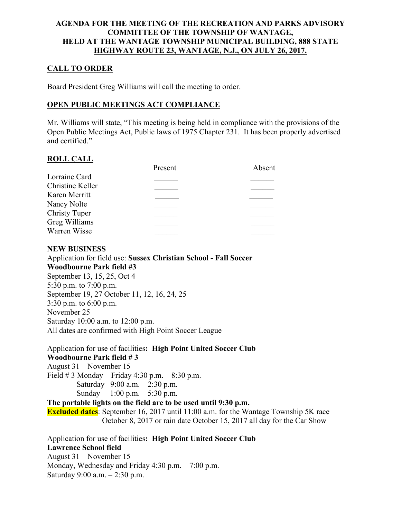### AGENDA FOR THE MEETING OF THE RECREATION AND PARKS ADVISORY COMMITTEE OF THE TOWNSHIP OF WANTAGE, HELD AT THE WANTAGE TOWNSHIP MUNICIPAL BUILDING, 888 STATE HIGHWAY ROUTE 23, WANTAGE, N.J., ON JULY 26, 2017.

# CALL TO ORDER

Board President Greg Williams will call the meeting to order.

## OPEN PUBLIC MEETINGS ACT COMPLIANCE

Mr. Williams will state, "This meeting is being held in compliance with the provisions of the Open Public Meetings Act, Public laws of 1975 Chapter 231. It has been properly advertised and certified."

## ROLL CALL

|                      | Present | Absent |
|----------------------|---------|--------|
| Lorraine Card        |         |        |
| Christine Keller     |         |        |
| Karen Merritt        |         |        |
| Nancy Nolte          |         |        |
| <b>Christy Tuper</b> |         |        |
| Greg Williams        |         |        |
| Warren Wisse         |         |        |
|                      |         |        |

## NEW BUSINESS

Application for field use: Sussex Christian School - Fall Soccer Woodbourne Park field #3 September 13, 15, 25, Oct 4 5:30 p.m. to 7:00 p.m. September 19, 27 October 11, 12, 16, 24, 25 3:30 p.m. to 6:00 p.m. November 25 Saturday 10:00 a.m. to 12:00 p.m. All dates are confirmed with High Point Soccer League

Application for use of facilities: High Point United Soccer Club Woodbourne Park field # 3 August 31 – November 15 Field  $# 3$  Monday – Friday 4:30 p.m. – 8:30 p.m. Saturday 9:00 a.m. – 2:30 p.m. Sunday  $1:00 \text{ p.m.} - 5:30 \text{ p.m.}$ The portable lights on the field are to be used until 9:30 p.m. Excluded dates: September 16, 2017 until 11:00 a.m. for the Wantage Township 5K race October 8, 2017 or rain date October 15, 2017 all day for the Car Show

Application for use of facilities: High Point United Soccer Club Lawrence School field August 31 – November 15 Monday, Wednesday and Friday 4:30 p.m. – 7:00 p.m. Saturday 9:00 a.m. – 2:30 p.m.